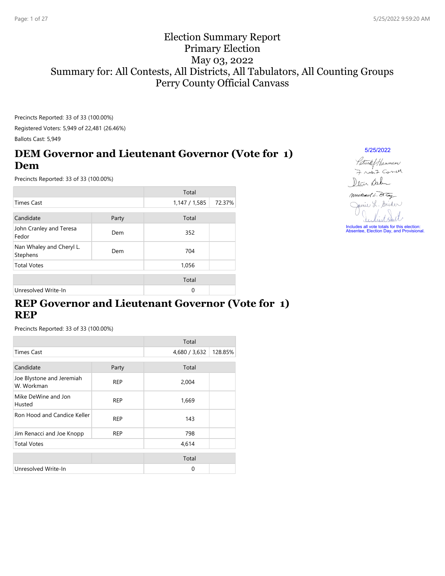### Election Summary Report Primary Election May 03, 2022 Summary for: All Contests, All Districts, All Tabulators, All Counting Groups Perry County Official Canvass

Precincts Reported: 33 of 33 (100.00%) Registered Voters: 5,949 of 22,481 (26.46%)

Ballots Cast: 5,949

### **DEM Governor and Lieutenant Governor (Vote for 1) Dem**

Precincts Reported: 33 of 33 (100.00%)

|                                      |       | Total         |        |
|--------------------------------------|-------|---------------|--------|
| <b>Times Cast</b>                    |       | 1,147 / 1,585 | 72.37% |
| Candidate                            | Party | Total         |        |
| John Cranley and Teresa<br>Fedor     | Dem   | 352           |        |
| Nan Whaley and Cheryl L.<br>Stephens | Dem   | 704           |        |
| <b>Total Votes</b>                   |       | 1,056         |        |
|                                      |       | Total         |        |
| Unresolved Write-In                  |       | 0             |        |

### **REP Governor and Lieutenant Governor (Vote for 1) REP**

Precincts Reported: 33 of 33 (100.00%)

|                                         |            | Total         |         |
|-----------------------------------------|------------|---------------|---------|
| <b>Times Cast</b>                       |            | 4,680 / 3,632 | 128.85% |
| Candidate                               |            | Total         |         |
|                                         | Party      |               |         |
| Joe Blystone and Jeremiah<br>W. Workman | <b>REP</b> | 2,004         |         |
| Mike DeWine and Jon<br>Husted           | <b>REP</b> | 1,669         |         |
| Ron Hood and Candice Keller             | <b>REP</b> | 143           |         |
| Jim Renacci and Joe Knopp               | <b>REP</b> | 798           |         |
| <b>Total Votes</b>                      |            | 4,614         |         |
|                                         |            | Total         |         |
| Unresolved Write-In                     |            | 0             |         |

5/25/2022

Patrick & Hannum 7 room Correll Dlan Sala

Michael L. Ortoy Jamie L. Snider

Includes all vote totals for this election: Absentee, Election Day, and Provisional.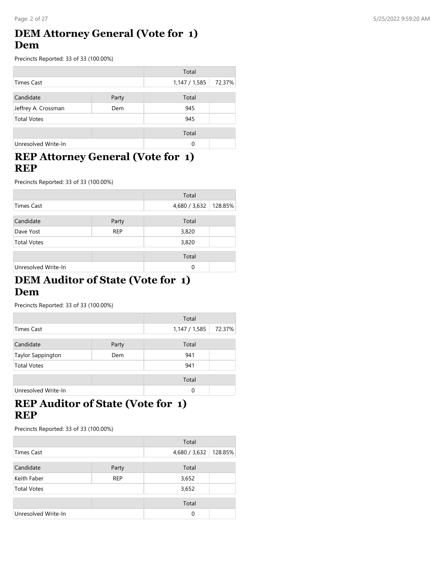### **DEM Attorney General (Vote for 1) Dem**

Precincts Reported: 33 of 33 (100.00%)

|                     |       | Total       |        |
|---------------------|-------|-------------|--------|
| Times Cast          |       | 1,147/1,585 | 72.37% |
| Candidate           | Party | Total       |        |
| Jeffrey A. Crossman | Dem   | 945         |        |
| <b>Total Votes</b>  |       |             |        |
|                     |       | 945         |        |
|                     |       | Total       |        |
| Unresolved Write-In |       | 0           |        |

### **REP Attorney General (Vote for 1) REP**

Precincts Reported: 33 of 33 (100.00%)

|                     |            | Total         |         |
|---------------------|------------|---------------|---------|
| Times Cast          |            | 4,680 / 3,632 | 128.85% |
| Candidate           | Party      | Total         |         |
|                     |            |               |         |
| Dave Yost           | <b>REP</b> | 3,820         |         |
| <b>Total Votes</b>  |            | 3,820         |         |
|                     |            | Total         |         |
| Unresolved Write-In |            | 0             |         |

#### **DEM Auditor of State (Vote for 1) Dem**

Precincts Reported: 33 of 33 (100.00%)

|                     |       | Total         |        |
|---------------------|-------|---------------|--------|
| Times Cast          |       | 1,147 / 1,585 | 72.37% |
| Candidate           | Party | Total         |        |
| Taylor Sappington   | Dem   | 941           |        |
| <b>Total Votes</b>  |       | 941           |        |
|                     |       | Total         |        |
| Unresolved Write-In |       | $\Omega$      |        |

### **REP Auditor of State (Vote for 1) REP**

|                     |            | Total         |         |
|---------------------|------------|---------------|---------|
| <b>Times Cast</b>   |            | 4,680 / 3,632 | 128.85% |
| Candidate           | Party      | Total         |         |
| Keith Faber         | <b>REP</b> | 3,652         |         |
| <b>Total Votes</b>  |            | 3,652         |         |
|                     |            | Total         |         |
| Unresolved Write-In |            | 0             |         |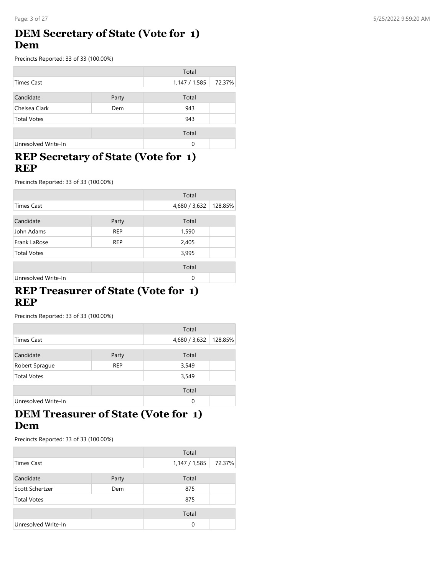### **DEM Secretary of State (Vote for 1) Dem**

Precincts Reported: 33 of 33 (100.00%)

|                     |       | Total       |        |
|---------------------|-------|-------------|--------|
| Times Cast          |       | 1,147/1,585 | 72.37% |
| Candidate           | Party | Total       |        |
| Chelsea Clark       | Dem   | 943         |        |
| <b>Total Votes</b>  |       | 943         |        |
|                     |       |             |        |
|                     |       | Total       |        |
| Unresolved Write-In |       | 0           |        |

### **REP Secretary of State (Vote for 1) REP**

Precincts Reported: 33 of 33 (100.00%)

|                     |            | Total         |         |
|---------------------|------------|---------------|---------|
| <b>Times Cast</b>   |            | 4,680 / 3,632 | 128.85% |
| Candidate           | Party      | Total         |         |
| John Adams          | <b>REP</b> | 1,590         |         |
| Frank LaRose        | <b>REP</b> | 2,405         |         |
| <b>Total Votes</b>  |            | 3,995         |         |
|                     |            | Total         |         |
| Unresolved Write-In |            | 0             |         |

### **REP Treasurer of State (Vote for 1) REP**

Precincts Reported: 33 of 33 (100.00%)

|                     |            | Total         |         |
|---------------------|------------|---------------|---------|
| <b>Times Cast</b>   |            | 4,680 / 3,632 | 128.85% |
| Candidate           | Party      | Total         |         |
| Robert Sprague      | <b>REP</b> | 3,549         |         |
| <b>Total Votes</b>  |            | 3,549         |         |
|                     |            | Total         |         |
| Unresolved Write-In |            | 0             |         |

### **DEM Treasurer of State (Vote for 1) Dem**

|                     |       | Total         |        |
|---------------------|-------|---------------|--------|
| Times Cast          |       | 1,147 / 1,585 | 72.37% |
| Candidate           | Party | Total         |        |
| Scott Schertzer     | Dem   | 875           |        |
| <b>Total Votes</b>  |       | 875           |        |
|                     |       | Total         |        |
| Unresolved Write-In |       | 0             |        |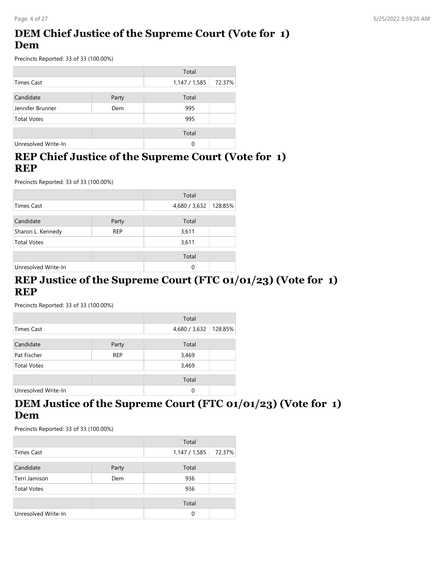# **DEM Chief Justice of the Supreme Court (Vote for 1) Dem**

Precincts Reported: 33 of 33 (100.00%)

|                     |       | Total         |        |
|---------------------|-------|---------------|--------|
| <b>Times Cast</b>   |       | 1,147 / 1,585 | 72.37% |
| Candidate           | Party | Total         |        |
| Jennifer Brunner    | Dem   | 995           |        |
| <b>Total Votes</b>  |       | 995           |        |
|                     |       | Total         |        |
| Unresolved Write-In |       | 0             |        |

### **REP Chief Justice of the Supreme Court (Vote for 1) REP**

Precincts Reported: 33 of 33 (100.00%)

|                     |            | Total         |         |
|---------------------|------------|---------------|---------|
| <b>Times Cast</b>   |            | 4,680 / 3,632 | 128.85% |
| Candidate           | Party      | Total         |         |
| Sharon L. Kennedy   | <b>REP</b> | 3,611         |         |
| <b>Total Votes</b>  |            | 3,611         |         |
|                     |            | Total         |         |
| Unresolved Write-In |            | 0             |         |

#### **REP Justice of the Supreme Court (FTC 01/01/23) (Vote for 1) REP**

Precincts Reported: 33 of 33 (100.00%)

|                     |            | Total         |         |
|---------------------|------------|---------------|---------|
| Times Cast          |            | 4,680 / 3,632 | 128.85% |
| Candidate           | Party      | Total         |         |
| Pat Fischer         | <b>REP</b> | 3,469         |         |
| <b>Total Votes</b>  |            | 3,469         |         |
|                     |            | Total         |         |
| Unresolved Write-In |            | 0             |         |

### **DEM Justice of the Supreme Court (FTC 01/01/23) (Vote for 1) Dem**

|                     |       | Total       |        |
|---------------------|-------|-------------|--------|
| Times Cast          |       | 1,147/1,585 | 72.37% |
| Candidate           | Party | Total       |        |
| Terri Jamison       | Dem   | 936         |        |
| <b>Total Votes</b>  |       | 936         |        |
|                     |       | Total       |        |
| Unresolved Write-In |       | 0           |        |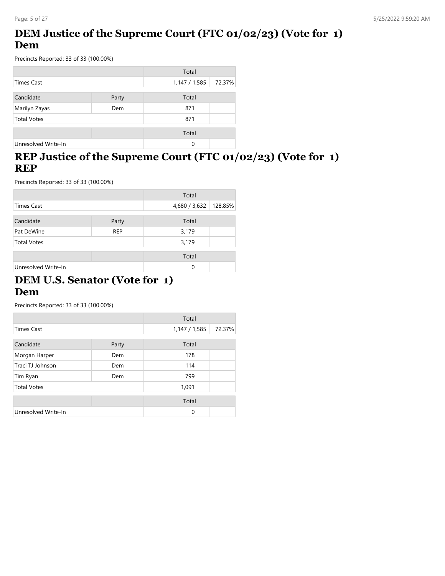### **DEM Justice of the Supreme Court (FTC 01/02/23) (Vote for 1) Dem**

Precincts Reported: 33 of 33 (100.00%)

|                     |       | Total         |        |
|---------------------|-------|---------------|--------|
| Times Cast          |       | 1,147 / 1,585 | 72.37% |
|                     |       |               |        |
| Candidate           | Party | Total         |        |
| Marilyn Zayas       | Dem   | 871           |        |
| <b>Total Votes</b>  |       | 871           |        |
|                     |       | Total         |        |
|                     |       |               |        |
| Unresolved Write-In |       | 0             |        |

#### н. **REP Justice of the Supreme Court (FTC 01/02/23) (Vote for 1) REP**

Precincts Reported: 33 of 33 (100.00%)

|                     |            | Total         |         |
|---------------------|------------|---------------|---------|
| <b>Times Cast</b>   |            | 4,680 / 3,632 | 128.85% |
| Candidate           | Party      | Total         |         |
| Pat DeWine          | <b>REP</b> | 3,179         |         |
| <b>Total Votes</b>  |            | 3,179         |         |
|                     |            | Total         |         |
| Unresolved Write-In |            | $\Omega$      |         |

#### **DEM U.S. Senator (Vote for 1) Dem**

|                     |       | Total         |        |
|---------------------|-------|---------------|--------|
| <b>Times Cast</b>   |       | 1,147 / 1,585 | 72.37% |
| Candidate           | Party | Total         |        |
| Morgan Harper       | Dem   | 178           |        |
| Traci TJ Johnson    | Dem   | 114           |        |
| Tim Ryan            | Dem   | 799           |        |
| <b>Total Votes</b>  |       | 1,091         |        |
|                     |       | Total         |        |
| Unresolved Write-In |       | 0             |        |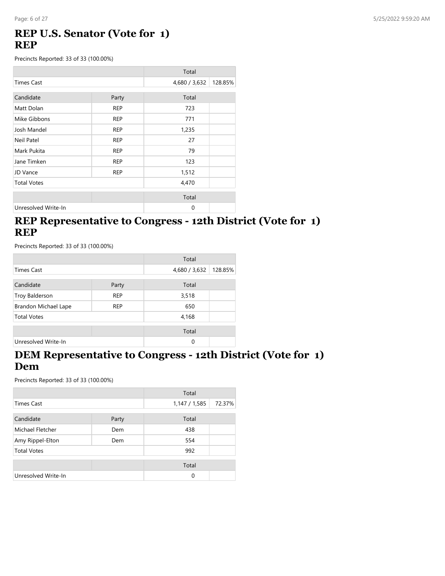### **REP U.S. Senator (Vote for 1) REP**

Precincts Reported: 33 of 33 (100.00%)

|                     |            | Total         |         |
|---------------------|------------|---------------|---------|
| <b>Times Cast</b>   |            | 4,680 / 3,632 | 128.85% |
| Candidate           | Party      | Total         |         |
| Matt Dolan          | <b>REP</b> | 723           |         |
| Mike Gibbons        | <b>REP</b> | 771           |         |
| Josh Mandel         | <b>REP</b> | 1,235         |         |
| Neil Patel          | <b>REP</b> | 27            |         |
| Mark Pukita         | <b>REP</b> | 79            |         |
| Jane Timken         | <b>REP</b> | 123           |         |
| JD Vance            | <b>REP</b> | 1,512         |         |
| <b>Total Votes</b>  |            | 4,470         |         |
|                     |            | Total         |         |
| Unresolved Write-In |            | $\mathbf 0$   |         |

### **REP Representative to Congress - 12th District (Vote for 1) REP**

Precincts Reported: 33 of 33 (100.00%)

|                      |            | Total         |         |
|----------------------|------------|---------------|---------|
| <b>Times Cast</b>    |            | 4,680 / 3,632 | 128.85% |
| Candidate            | Party      | Total         |         |
| Troy Balderson       | <b>REP</b> | 3,518         |         |
| Brandon Michael Lape | <b>REP</b> | 650           |         |
| <b>Total Votes</b>   |            | 4,168         |         |
|                      |            | Total         |         |
| Unresolved Write-In  |            | 0             |         |

#### **DEM Representative to Congress - 12th District (Vote for 1) Dem**

|                     |       | Total         |        |
|---------------------|-------|---------------|--------|
| Times Cast          |       | 1,147 / 1,585 | 72.37% |
| Candidate           | Party | Total         |        |
| Michael Fletcher    | Dem   | 438           |        |
| Amy Rippel-Elton    | Dem   | 554           |        |
| <b>Total Votes</b>  |       | 992           |        |
|                     |       | Total         |        |
| Unresolved Write-In |       | 0             |        |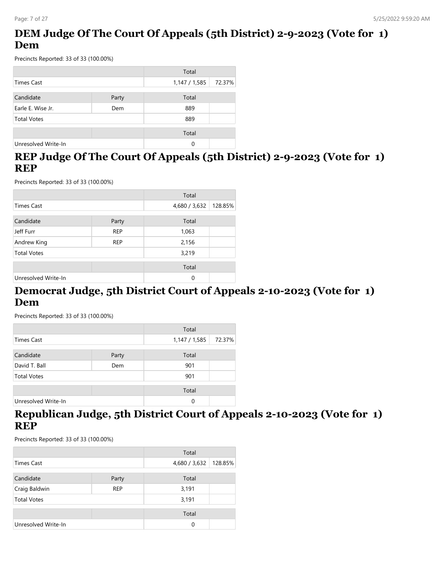### **DEM Judge Of The Court Of Appeals (5th District) 2-9-2023 (Vote for 1) Dem**

Precincts Reported: 33 of 33 (100.00%)

|                     |       | Total       |        |
|---------------------|-------|-------------|--------|
| Times Cast          |       | 1,147/1,585 | 72.37% |
| Candidate           | Party | Total       |        |
| Earle E. Wise Jr.   | Dem   | 889         |        |
| <b>Total Votes</b>  |       | 889         |        |
|                     |       | Total       |        |
| Unresolved Write-In |       | 0           |        |

### **REP Judge Of The Court Of Appeals (5th District) 2-9-2023 (Vote for 1) REP**

Precincts Reported: 33 of 33 (100.00%)

|                     |            | Total         |         |
|---------------------|------------|---------------|---------|
| <b>Times Cast</b>   |            | 4,680 / 3,632 | 128.85% |
| Candidate           | Party      | Total         |         |
| Jeff Furr           | <b>REP</b> | 1,063         |         |
| Andrew King         | <b>REP</b> | 2,156         |         |
| <b>Total Votes</b>  |            | 3,219         |         |
|                     |            | Total         |         |
| Unresolved Write-In |            | 0             |         |

### **Democrat Judge, 5th District Court of Appeals 2-10-2023 (Vote for 1) Dem**

Precincts Reported: 33 of 33 (100.00%)

|                     |       | Total       |        |
|---------------------|-------|-------------|--------|
| Times Cast          |       | 1,147/1,585 | 72.37% |
|                     |       |             |        |
| Candidate           | Party | Total       |        |
| David T. Ball       | Dem   | 901         |        |
| <b>Total Votes</b>  |       | 901         |        |
|                     |       | Total       |        |
| Unresolved Write-In |       | $\Omega$    |        |

### **Republican Judge, 5th District Court of Appeals 2-10-2023 (Vote for 1) REP**

|                     |            | Total         |         |
|---------------------|------------|---------------|---------|
| <b>Times Cast</b>   |            | 4,680 / 3,632 | 128.85% |
| Candidate           | Party      | Total         |         |
| Craig Baldwin       | <b>REP</b> | 3,191         |         |
| <b>Total Votes</b>  |            | 3,191         |         |
|                     |            | Total         |         |
| Unresolved Write-In |            | $\Omega$      |         |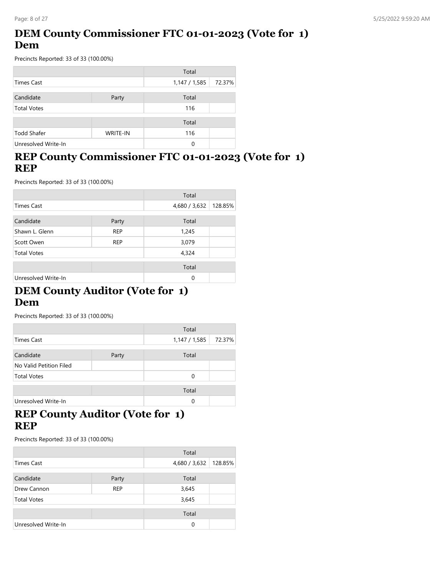### **DEM County Commissioner FTC 01-01-2023 (Vote for 1) Dem**

Precincts Reported: 33 of 33 (100.00%)

|                     |                 | Total         |        |
|---------------------|-----------------|---------------|--------|
| <b>Times Cast</b>   |                 | 1,147 / 1,585 | 72.37% |
| Candidate           | Party           | Total         |        |
| <b>Total Votes</b>  |                 | 116           |        |
|                     |                 | Total         |        |
| <b>Todd Shafer</b>  | <b>WRITE-IN</b> | 116           |        |
| Unresolved Write-In |                 | 0             |        |

### **REP County Commissioner FTC 01-01-2023 (Vote for 1) REP**

Precincts Reported: 33 of 33 (100.00%)

|                     |            | Total         |         |
|---------------------|------------|---------------|---------|
| <b>Times Cast</b>   |            | 4,680 / 3,632 | 128.85% |
| Candidate           | Party      | Total         |         |
| Shawn L. Glenn      | <b>REP</b> | 1,245         |         |
| Scott Owen          | <b>REP</b> | 3,079         |         |
| <b>Total Votes</b>  |            | 4,324         |         |
|                     |            | Total         |         |
| Unresolved Write-In |            | $\Omega$      |         |

### **DEM County Auditor (Vote for 1) Dem**

Precincts Reported: 33 of 33 (100.00%)

|                         |       | Total         |        |
|-------------------------|-------|---------------|--------|
| Times Cast              |       | 1,147 / 1,585 | 72.37% |
| Candidate               | Party | Total         |        |
| No Valid Petition Filed |       |               |        |
| <b>Total Votes</b>      |       | 0             |        |
|                         |       | Total         |        |
| Unresolved Write-In     |       | $\Omega$      |        |

### **REP County Auditor (Vote for 1) REP**

|                     |            | Total         |         |
|---------------------|------------|---------------|---------|
| Times Cast          |            | 4,680 / 3,632 | 128.85% |
| Candidate           | Party      | Total         |         |
| Drew Cannon         | <b>REP</b> | 3,645         |         |
| <b>Total Votes</b>  |            | 3,645         |         |
|                     |            | Total         |         |
| Unresolved Write-In |            | 0             |         |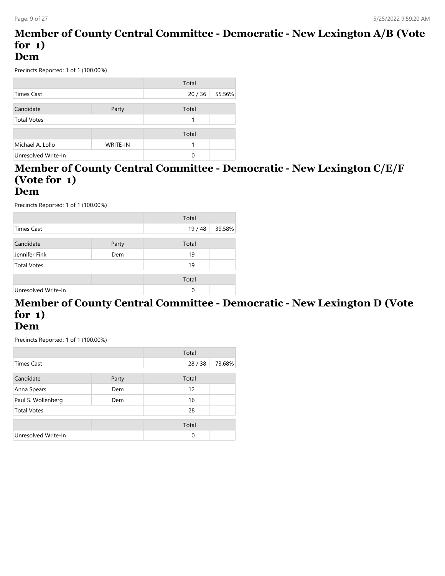#### **Member of County Central Committee - Democratic - New Lexington A/B (Vote for 1) Dem**

Precincts Reported: 1 of 1 (100.00%)

|                     |          | Total |        |
|---------------------|----------|-------|--------|
| Times Cast          |          | 20/36 | 55.56% |
|                     |          |       |        |
| Candidate           | Party    | Total |        |
| <b>Total Votes</b>  |          |       |        |
|                     |          |       |        |
|                     |          | Total |        |
| Michael A. Lollo    | WRITE-IN |       |        |
| Unresolved Write-In |          | 0     |        |

# **Member of County Central Committee - Democratic - New Lexington C/E/F (Vote for 1)**

#### **Dem**

Precincts Reported: 1 of 1 (100.00%)

|                     |       | Total    |        |
|---------------------|-------|----------|--------|
| <b>Times Cast</b>   |       | 19/48    | 39.58% |
|                     |       |          |        |
| Candidate           | Party | Total    |        |
| Jennifer Fink       | Dem   | 19       |        |
| <b>Total Votes</b>  |       | 19       |        |
|                     |       | Total    |        |
| Unresolved Write-In |       | $\Omega$ |        |

# **Member of County Central Committee - Democratic - New Lexington D (Vote for 1)**

**Dem**

|                     |       | Total |        |
|---------------------|-------|-------|--------|
| <b>Times Cast</b>   |       | 28/38 | 73.68% |
| Candidate           | Party | Total |        |
| Anna Spears         | Dem   | 12    |        |
| Paul S. Wollenberg  | Dem   | 16    |        |
| <b>Total Votes</b>  |       | 28    |        |
|                     |       | Total |        |
| Unresolved Write-In |       | 0     |        |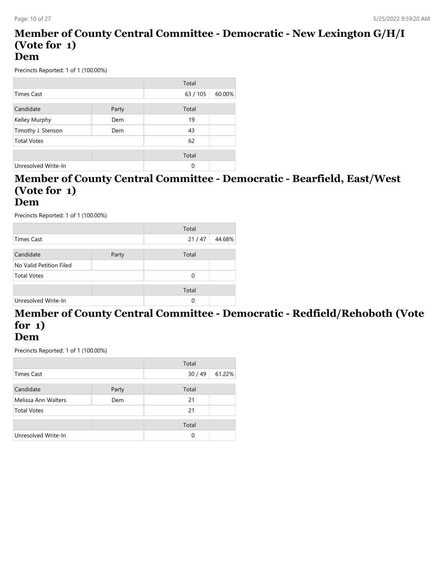#### **Member of County Central Committee - Democratic - New Lexington G/H/I (Vote for 1) Dem**

Precincts Reported: 1 of 1 (100.00%)

|                     |       | Total    |        |
|---------------------|-------|----------|--------|
| Times Cast          |       | 63/105   | 60.00% |
|                     |       |          |        |
| Candidate           | Party | Total    |        |
| Kelley Murphy       | Dem   | 19       |        |
| Timothy J. Stenson  | Dem   | 43       |        |
| <b>Total Votes</b>  |       | 62       |        |
|                     |       |          |        |
|                     |       | Total    |        |
| Unresolved Write-In |       | $\Omega$ |        |

#### **Member of County Central Committee - Democratic - Bearfield, East/West (Vote for 1) Dem**

Precincts Reported: 1 of 1 (100.00%)

|                         |       | Total    |        |
|-------------------------|-------|----------|--------|
| <b>Times Cast</b>       |       | 21/47    | 44.68% |
|                         |       |          |        |
| Candidate               | Party | Total    |        |
| No Valid Petition Filed |       |          |        |
| <b>Total Votes</b>      |       | $\Omega$ |        |
|                         |       |          |        |
|                         |       | Total    |        |
| Unresolved Write-In     |       | $\Omega$ |        |
|                         |       |          |        |

# **Member of County Central Committee - Democratic - Redfield/Rehoboth (Vote for 1)**

#### **Dem**

|                     |       | Total |        |
|---------------------|-------|-------|--------|
| Times Cast          |       | 30/49 | 61.22% |
| Candidate           | Party | Total |        |
| Melissa Ann Walters | Dem   | 21    |        |
| <b>Total Votes</b>  |       | 21    |        |
|                     |       | Total |        |
| Unresolved Write-In |       | 0     |        |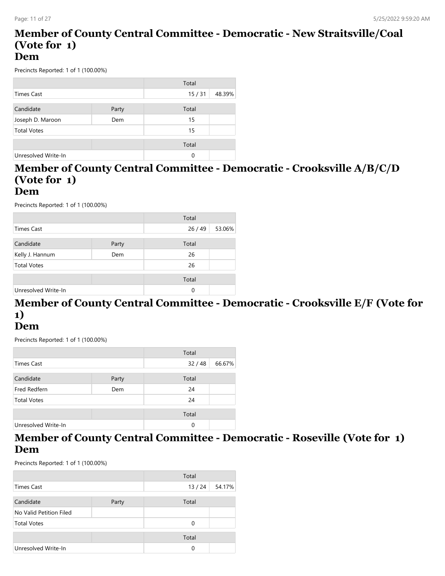#### **Member of County Central Committee - Democratic - New Straitsville/Coal (Vote for 1) Dem**

Precincts Reported: 1 of 1 (100.00%)

|                     |       | Total |        |
|---------------------|-------|-------|--------|
| <b>Times Cast</b>   |       | 15/31 | 48.39% |
|                     |       |       |        |
| Candidate           | Party | Total |        |
| Joseph D. Maroon    | Dem   | 15    |        |
| <b>Total Votes</b>  |       | 15    |        |
|                     |       |       |        |
|                     |       | Total |        |
| Unresolved Write-In |       | 0     |        |

# **Member of County Central Committee - Democratic - Crooksville A/B/C/D (Vote for 1)**

#### **Dem**

Precincts Reported: 1 of 1 (100.00%)

|                     |       | Total |        |
|---------------------|-------|-------|--------|
| <b>Times Cast</b>   |       | 26/49 | 53.06% |
|                     |       |       |        |
| Candidate           | Party | Total |        |
| Kelly J. Hannum     | Dem   | 26    |        |
| <b>Total Votes</b>  |       | 26    |        |
|                     |       | Total |        |
|                     |       |       |        |
| Unresolved Write-In |       | 0     |        |

# **Member of County Central Committee - Democratic - Crooksville E/F (Vote for 1)**

### **Dem**

Precincts Reported: 1 of 1 (100.00%)

|                     |       | Total    |        |
|---------------------|-------|----------|--------|
| Times Cast          |       | 32/48    | 66.67% |
|                     |       |          |        |
| Candidate           | Party | Total    |        |
| Fred Redfern        | Dem   | 24       |        |
| <b>Total Votes</b>  |       | 24       |        |
|                     |       |          |        |
|                     |       | Total    |        |
| Unresolved Write-In |       | $\Omega$ |        |

#### **Member of County Central Committee - Democratic - Roseville (Vote for 1) Dem**

|                         |       | Total |        |
|-------------------------|-------|-------|--------|
| Times Cast              |       | 13/24 | 54.17% |
| Candidate               | Party | Total |        |
| No Valid Petition Filed |       |       |        |
| <b>Total Votes</b>      |       | 0     |        |
|                         |       | Total |        |
| Unresolved Write-In     |       | 0     |        |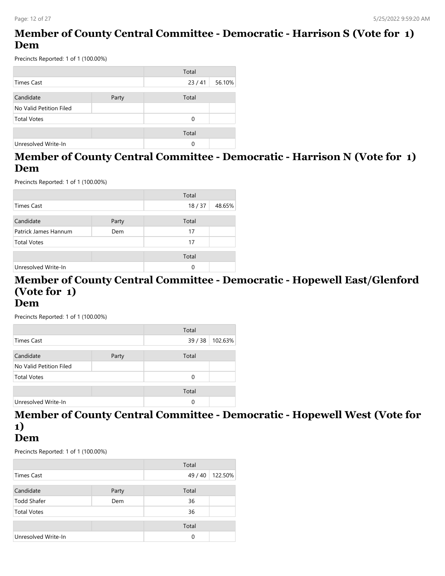### **Member of County Central Committee - Democratic - Harrison S (Vote for 1) Dem**

Precincts Reported: 1 of 1 (100.00%)

|                         |       | Total    |        |
|-------------------------|-------|----------|--------|
| Times Cast              |       | 23/41    | 56.10% |
|                         |       |          |        |
| Candidate               | Party | Total    |        |
| No Valid Petition Filed |       |          |        |
| <b>Total Votes</b>      |       | $\Omega$ |        |
|                         |       |          |        |
|                         |       | Total    |        |
| Unresolved Write-In     |       | 0        |        |

### **Member of County Central Committee - Democratic - Harrison N (Vote for 1) Dem**

Precincts Reported: 1 of 1 (100.00%)

|                      |       | Total |        |
|----------------------|-------|-------|--------|
| Times Cast           |       | 18/37 | 48.65% |
|                      |       |       |        |
| Candidate            | Party | Total |        |
| Patrick James Hannum | Dem   | 17    |        |
| <b>Total Votes</b>   |       | 17    |        |
|                      |       | Total |        |
|                      |       |       |        |
| Unresolved Write-In  |       | 0     |        |

# **Member of County Central Committee - Democratic - Hopewell East/Glenford (Vote for 1)**

**Dem**

Precincts Reported: 1 of 1 (100.00%)

|                         |       | Total |         |
|-------------------------|-------|-------|---------|
| <b>Times Cast</b>       |       | 39/38 | 102.63% |
|                         |       |       |         |
| Candidate               | Party | Total |         |
| No Valid Petition Filed |       |       |         |
| <b>Total Votes</b>      |       | 0     |         |
|                         |       |       |         |
|                         |       | Total |         |
| Unresolved Write-In     |       | 0     |         |

### **Member of County Central Committee - Democratic - Hopewell West (Vote for 1)**

#### **Dem**

|                     |       | Total   |         |
|---------------------|-------|---------|---------|
| Times Cast          |       | 49 / 40 | 122.50% |
| Candidate           | Party | Total   |         |
| Todd Shafer         | Dem   | 36      |         |
| <b>Total Votes</b>  |       | 36      |         |
|                     |       | Total   |         |
| Unresolved Write-In |       | 0       |         |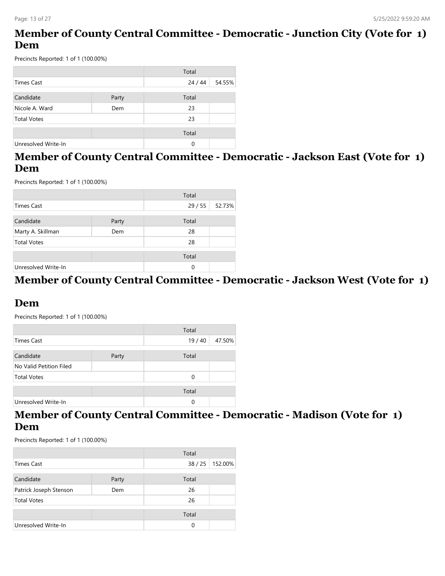### **Member of County Central Committee - Democratic - Junction City (Vote for 1) Dem**

Precincts Reported: 1 of 1 (100.00%)

|                     |       | Total |        |
|---------------------|-------|-------|--------|
| <b>Times Cast</b>   |       | 24/44 | 54.55% |
|                     |       |       |        |
| Candidate           | Party | Total |        |
| Nicole A. Ward      | Dem   | 23    |        |
| <b>Total Votes</b>  |       | 23    |        |
|                     |       |       |        |
|                     |       | Total |        |
| Unresolved Write-In |       | 0     |        |

### **Member of County Central Committee - Democratic - Jackson East (Vote for 1) Dem**

Precincts Reported: 1 of 1 (100.00%)

|                     |       | Total |        |
|---------------------|-------|-------|--------|
| <b>Times Cast</b>   |       | 29/55 | 52.73% |
| Candidate           | Party | Total |        |
| Marty A. Skillman   | Dem   | 28    |        |
| <b>Total Votes</b>  |       | 28    |        |
|                     |       | Total |        |
| Unresolved Write-In |       | 0     |        |

#### **Member of County Central Committee - Democratic - Jackson West (Vote for 1)**

### **Dem**

Precincts Reported: 1 of 1 (100.00%)

|                         |       | Total    |        |
|-------------------------|-------|----------|--------|
| Times Cast              |       | 19/40    | 47.50% |
|                         |       |          |        |
| Candidate               | Party | Total    |        |
| No Valid Petition Filed |       |          |        |
| <b>Total Votes</b>      |       | $\Omega$ |        |
|                         |       |          |        |
|                         |       | Total    |        |
| Unresolved Write-In     |       | $\Omega$ |        |

### **Member of County Central Committee - Democratic - Madison (Vote for 1) Dem**

|                        |       | Total |         |
|------------------------|-------|-------|---------|
| <b>Times Cast</b>      |       | 38/25 | 152.00% |
| Candidate              | Party | Total |         |
| Patrick Joseph Stenson | Dem   | 26    |         |
| <b>Total Votes</b>     |       | 26    |         |
|                        |       | Total |         |
| Unresolved Write-In    |       | 0     |         |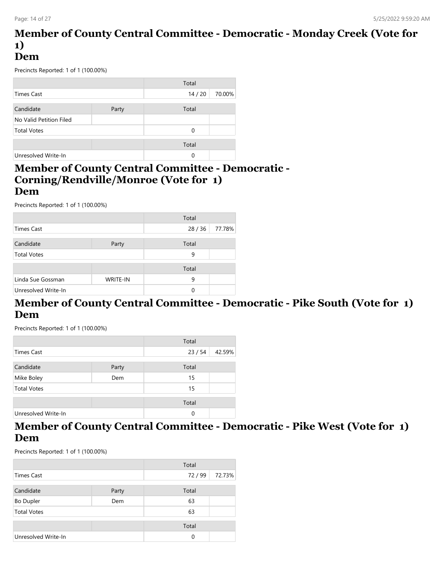#### **Member of County Central Committee - Democratic - Monday Creek (Vote for 1) Dem**

Precincts Reported: 1 of 1 (100.00%)

|                         |       | Total |        |
|-------------------------|-------|-------|--------|
| Times Cast              |       | 14/20 | 70.00% |
|                         |       |       |        |
| Candidate               | Party | Total |        |
| No Valid Petition Filed |       |       |        |
| <b>Total Votes</b>      |       | 0     |        |
|                         |       | Total |        |
| Unresolved Write-In     |       | 0     |        |

#### **Member of County Central Committee - Democratic - Corning/Rendville/Monroe (Vote for 1) Dem**

Precincts Reported: 1 of 1 (100.00%)

|                     |                 | Total |        |
|---------------------|-----------------|-------|--------|
| <b>Times Cast</b>   |                 | 28/36 | 77.78% |
|                     |                 |       |        |
| Candidate           | Party           | Total |        |
| <b>Total Votes</b>  |                 | 9     |        |
|                     |                 |       |        |
|                     |                 | Total |        |
| Linda Sue Gossman   | <b>WRITE-IN</b> | 9     |        |
| Unresolved Write-In |                 | 0     |        |

#### **Member of County Central Committee - Democratic - Pike South (Vote for 1) Dem**

Precincts Reported: 1 of 1 (100.00%)

|       | Total    |        |
|-------|----------|--------|
|       | 23/54    | 42.59% |
|       |          |        |
| Party | Total    |        |
| Dem   | 15       |        |
|       | 15       |        |
|       |          |        |
|       | Total    |        |
|       | $\Omega$ |        |
|       |          |        |

#### **Member of County Central Committee - Democratic - Pike West (Vote for 1) Dem**

|                     |       | Total    |        |
|---------------------|-------|----------|--------|
| <b>Times Cast</b>   |       | 72/99    | 72.73% |
|                     |       |          |        |
| Candidate           | Party | Total    |        |
| <b>Bo Dupler</b>    | Dem   | 63       |        |
| <b>Total Votes</b>  |       | 63       |        |
|                     |       | Total    |        |
| Unresolved Write-In |       | $\Omega$ |        |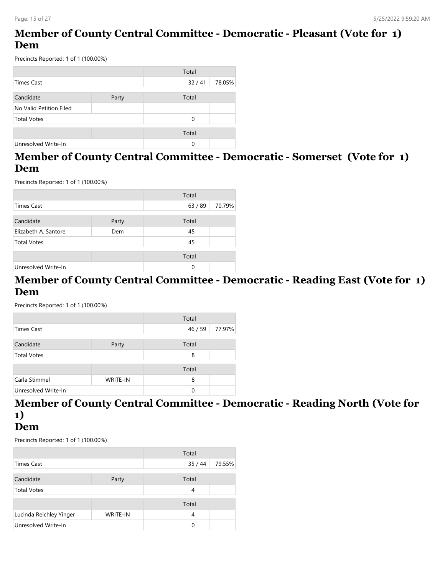### **Member of County Central Committee - Democratic - Pleasant (Vote for 1) Dem**

Precincts Reported: 1 of 1 (100.00%)

|                         |       | Total |        |
|-------------------------|-------|-------|--------|
| Times Cast              |       | 32/41 | 78.05% |
|                         |       |       |        |
| Candidate               | Party | Total |        |
| No Valid Petition Filed |       |       |        |
| <b>Total Votes</b>      |       | 0     |        |
|                         |       |       |        |
|                         |       | Total |        |
| Unresolved Write-In     |       | 0     |        |

### **Member of County Central Committee - Democratic - Somerset (Vote for 1) Dem**

Precincts Reported: 1 of 1 (100.00%)

|                      |       | Total |        |
|----------------------|-------|-------|--------|
| Times Cast           |       | 63/89 | 70.79% |
| Candidate            | Party | Total |        |
| Elizabeth A. Santore | Dem   | 45    |        |
| <b>Total Votes</b>   |       | 45    |        |
|                      |       | Total |        |
| Unresolved Write-In  |       | 0     |        |

#### **Member of County Central Committee - Democratic - Reading East (Vote for 1) Dem**

Precincts Reported: 1 of 1 (100.00%)

|                     |                 | Total |        |
|---------------------|-----------------|-------|--------|
| Times Cast          |                 | 46/59 | 77.97% |
| Candidate           | Party           | Total |        |
| <b>Total Votes</b>  |                 | 8     |        |
|                     |                 | Total |        |
| Carla Stimmel       | <b>WRITE-IN</b> | 8     |        |
| Unresolved Write-In |                 | 0     |        |

### **Member of County Central Committee - Democratic - Reading North (Vote for 1)**

**Dem**

|                         |                 | Total |        |
|-------------------------|-----------------|-------|--------|
| <b>Times Cast</b>       |                 | 35/44 | 79.55% |
| Candidate               | Party           | Total |        |
| <b>Total Votes</b>      |                 | 4     |        |
|                         |                 | Total |        |
| Lucinda Reichley Yinger | <b>WRITE-IN</b> | 4     |        |
| Unresolved Write-In     |                 | O     |        |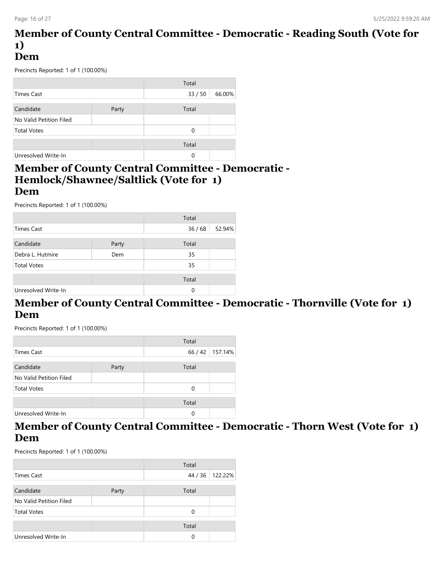#### **Member of County Central Committee - Democratic - Reading South (Vote for 1) Dem**

Precincts Reported: 1 of 1 (100.00%)

|                         |       | Total    |        |
|-------------------------|-------|----------|--------|
| Times Cast              |       | 33 / 50  | 66.00% |
| Candidate               | Party | Total    |        |
| No Valid Petition Filed |       |          |        |
| <b>Total Votes</b>      |       | $\Omega$ |        |
|                         |       | Total    |        |
| Unresolved Write-In     |       | 0        |        |

#### **Member of County Central Committee - Democratic - Hemlock/Shawnee/Saltlick (Vote for 1) Dem**

Precincts Reported: 1 of 1 (100.00%)

|                     |       | Total |        |
|---------------------|-------|-------|--------|
| Times Cast          |       | 36/68 | 52.94% |
|                     |       |       |        |
| Candidate           | Party | Total |        |
| Debra L. Hutmire    | Dem   | 35    |        |
| <b>Total Votes</b>  |       | 35    |        |
|                     |       |       |        |
|                     |       | Total |        |
| Unresolved Write-In |       | 0     |        |

### **Member of County Central Committee - Democratic - Thornville (Vote for 1) Dem**

Precincts Reported: 1 of 1 (100.00%)

|                         |       | Total    |                 |
|-------------------------|-------|----------|-----------------|
| Times Cast              |       |          | 66 / 42 157.14% |
|                         |       |          |                 |
| Candidate               | Party | Total    |                 |
| No Valid Petition Filed |       |          |                 |
| <b>Total Votes</b>      |       | $\Omega$ |                 |
|                         |       |          |                 |
|                         |       | Total    |                 |
| Unresolved Write-In     |       | 0        |                 |

### **Member of County Central Committee - Democratic - Thorn West (Vote for 1) Dem**

|                         |       | Total   |         |
|-------------------------|-------|---------|---------|
| Times Cast              |       | 44 / 36 | 122.22% |
|                         |       |         |         |
| Candidate               | Party | Total   |         |
| No Valid Petition Filed |       |         |         |
| <b>Total Votes</b>      |       | 0       |         |
|                         |       |         |         |
|                         |       | Total   |         |
| Unresolved Write-In     |       | 0       |         |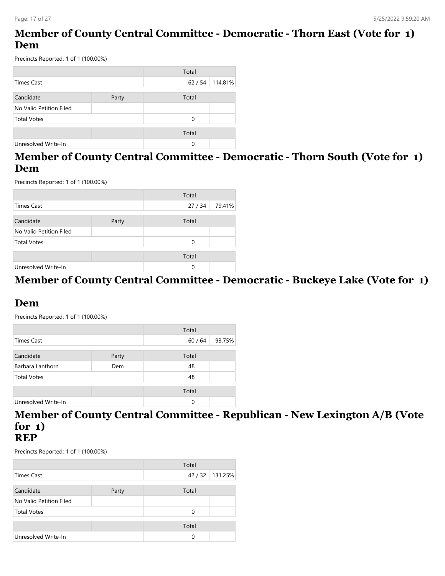### **Member of County Central Committee - Democratic - Thorn East (Vote for 1) Dem**

Precincts Reported: 1 of 1 (100.00%)

|                         |       | Total |         |
|-------------------------|-------|-------|---------|
| <b>Times Cast</b>       |       | 62/54 | 114.81% |
|                         |       |       |         |
| Candidate               | Party | Total |         |
| No Valid Petition Filed |       |       |         |
| <b>Total Votes</b>      |       | 0     |         |
|                         |       |       |         |
|                         |       | Total |         |
| Unresolved Write-In     |       | 0     |         |

### **Member of County Central Committee - Democratic - Thorn South (Vote for 1) Dem**

Precincts Reported: 1 of 1 (100.00%)

|                         |       | Total |        |
|-------------------------|-------|-------|--------|
| <b>Times Cast</b>       |       | 27/34 | 79.41% |
|                         |       |       |        |
| Candidate               | Party | Total |        |
| No Valid Petition Filed |       |       |        |
| <b>Total Votes</b>      |       | 0     |        |
|                         |       | Total |        |
| Unresolved Write-In     |       | 0     |        |

#### **Member of County Central Committee - Democratic - Buckeye Lake (Vote for 1)**

### **Dem**

Precincts Reported: 1 of 1 (100.00%)

|                     |       | Total |        |
|---------------------|-------|-------|--------|
| Times Cast          |       | 60/64 | 93.75% |
|                     |       |       |        |
| Candidate           | Party | Total |        |
| Barbara Lanthorn    | Dem   | 48    |        |
| <b>Total Votes</b>  |       | 48    |        |
|                     |       |       |        |
|                     |       | Total |        |
| Unresolved Write-In |       | 0     |        |

# **Member of County Central Committee - Republican - New Lexington A/B (Vote for 1)**

### **REP**

|                         |       | Total |         |
|-------------------------|-------|-------|---------|
| <b>Times Cast</b>       |       | 42/32 | 131.25% |
| Candidate               | Party | Total |         |
| No Valid Petition Filed |       |       |         |
| <b>Total Votes</b>      |       | 0     |         |
|                         |       | Total |         |
| Unresolved Write-In     |       | 0     |         |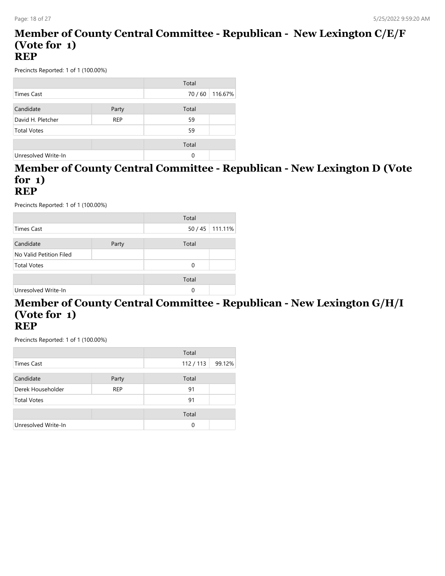#### **Member of County Central Committee - Republican - New Lexington C/E/F (Vote for 1) REP**

Precincts Reported: 1 of 1 (100.00%)

|                     |            | Total   |         |
|---------------------|------------|---------|---------|
| <b>Times Cast</b>   |            | 70 / 60 | 116.67% |
|                     |            |         |         |
| Candidate           | Party      | Total   |         |
| David H. Pletcher   | <b>REP</b> | 59      |         |
| <b>Total Votes</b>  |            | 59      |         |
|                     |            |         |         |
|                     |            | Total   |         |
| Unresolved Write-In |            | 0       |         |

# **Member of County Central Committee - Republican - New Lexington D (Vote for 1)**

#### **REP**

Precincts Reported: 1 of 1 (100.00%)

|                         |       | Total    |         |
|-------------------------|-------|----------|---------|
| Times Cast              |       | 50 / 45  | 111.11% |
|                         |       |          |         |
| Candidate               | Party | Total    |         |
| No Valid Petition Filed |       |          |         |
| <b>Total Votes</b>      |       | $\Omega$ |         |
|                         |       | Total    |         |
|                         |       |          |         |
| Unresolved Write-In     |       | $\Omega$ |         |

#### **Member of County Central Committee - Republican - New Lexington G/H/I (Vote for 1) REP**

|                     |            | Total   |        |
|---------------------|------------|---------|--------|
| Times Cast          |            | 112/113 | 99.12% |
| Candidate           | Party      | Total   |        |
| Derek Householder   | <b>REP</b> | 91      |        |
| <b>Total Votes</b>  |            | 91      |        |
|                     |            | Total   |        |
| Unresolved Write-In |            | 0       |        |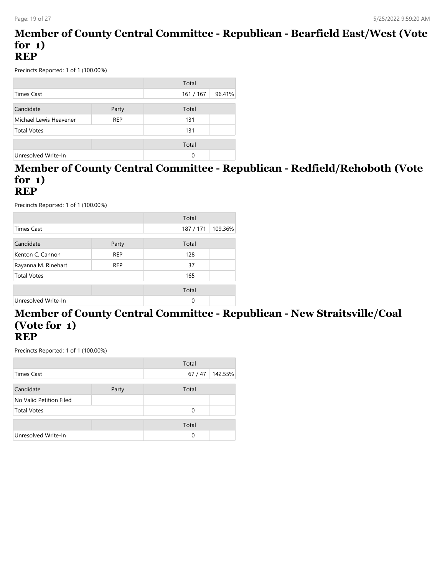#### **Member of County Central Committee - Republican - Bearfield East/West (Vote for 1) REP**

Precincts Reported: 1 of 1 (100.00%)

|                        |            | Total     |        |
|------------------------|------------|-----------|--------|
| Times Cast             |            | 161 / 167 | 96.41% |
|                        |            |           |        |
| Candidate              | Party      | Total     |        |
| Michael Lewis Heavener | <b>REP</b> | 131       |        |
| <b>Total Votes</b>     |            | 131       |        |
|                        |            |           |        |
|                        |            | Total     |        |
| Unresolved Write-In    |            | 0         |        |

# **Member of County Central Committee - Republican - Redfield/Rehoboth (Vote for 1)**

#### **REP**

Precincts Reported: 1 of 1 (100.00%)

|                     |            | Total     |         |
|---------------------|------------|-----------|---------|
| <b>Times Cast</b>   |            | 187 / 171 | 109.36% |
|                     |            |           |         |
| Candidate           | Party      | Total     |         |
| Kenton C. Cannon    | <b>REP</b> | 128       |         |
| Rayanna M. Rinehart | <b>REP</b> | 37        |         |
| <b>Total Votes</b>  |            | 165       |         |
|                     |            |           |         |
|                     |            | Total     |         |
| Unresolved Write-In |            | 0         |         |

#### **Member of County Central Committee - Republican - New Straitsville/Coal (Vote for 1) REP**

| Total                   |       |         |         |
|-------------------------|-------|---------|---------|
| Times Cast              |       | 67 / 47 | 142.55% |
| Candidate               | Party | Total   |         |
| No Valid Petition Filed |       |         |         |
| <b>Total Votes</b>      |       | 0       |         |
|                         |       | Total   |         |
| Unresolved Write-In     |       | 0       |         |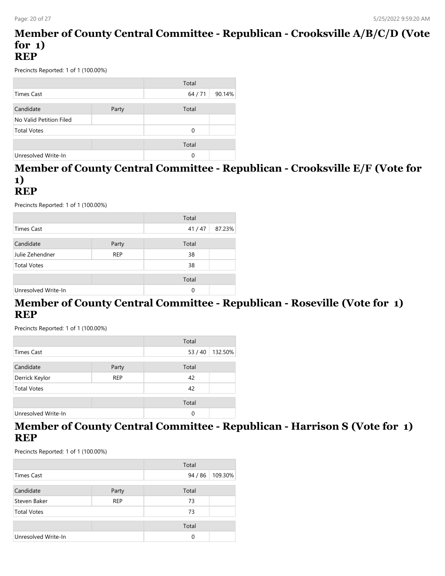#### **Member of County Central Committee - Republican - Crooksville A/B/C/D (Vote for 1) REP**

Precincts Reported: 1 of 1 (100.00%)

|                         |       | Total    |        |
|-------------------------|-------|----------|--------|
| Times Cast              |       | 64 / 71  | 90.14% |
|                         |       |          |        |
| Candidate               | Party | Total    |        |
| No Valid Petition Filed |       |          |        |
| <b>Total Votes</b>      |       | $\Omega$ |        |
|                         |       |          |        |
|                         |       | Total    |        |
| Unresolved Write-In     |       | 0        |        |

# **Member of County Central Committee - Republican - Crooksville E/F (Vote for 1)**

#### **REP**

Precincts Reported: 1 of 1 (100.00%)

|                     |            | Total    |        |
|---------------------|------------|----------|--------|
| Times Cast          |            | 41/47    | 87.23% |
|                     |            |          |        |
| Candidate           | Party      | Total    |        |
| Julie Zehendner     | <b>REP</b> | 38       |        |
| <b>Total Votes</b>  |            | 38       |        |
|                     |            | Total    |        |
| Unresolved Write-In |            | $\Omega$ |        |

### **Member of County Central Committee - Republican - Roseville (Vote for 1) REP**

Precincts Reported: 1 of 1 (100.00%)

|                     |            | Total    |         |
|---------------------|------------|----------|---------|
| <b>Times Cast</b>   |            | 53/40    | 132.50% |
|                     |            |          |         |
| Candidate           | Party      | Total    |         |
| Derrick Keylor      | <b>REP</b> | 42       |         |
| <b>Total Votes</b>  |            | 42       |         |
|                     |            |          |         |
|                     |            | Total    |         |
| Unresolved Write-In |            | $\Omega$ |         |

### **Member of County Central Committee - Republican - Harrison S (Vote for 1) REP**

|                     |            | Total |         |
|---------------------|------------|-------|---------|
| Times Cast          |            | 94/86 | 109.30% |
| Candidate           | Party      | Total |         |
| Steven Baker        | <b>REP</b> | 73    |         |
| <b>Total Votes</b>  |            | 73    |         |
|                     |            | Total |         |
| Unresolved Write-In |            | 0     |         |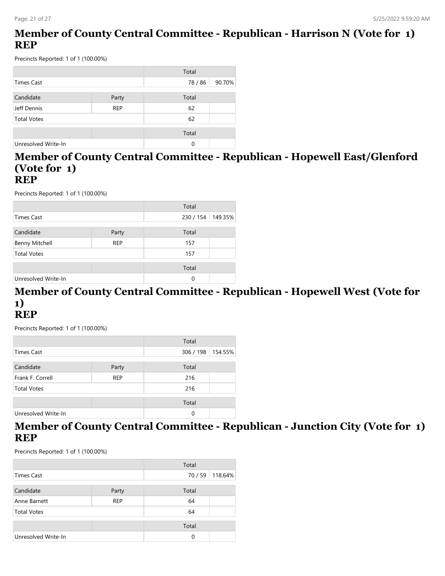### **Member of County Central Committee - Republican - Harrison N (Vote for 1) REP**

Precincts Reported: 1 of 1 (100.00%)

|                     |            | Total   |        |
|---------------------|------------|---------|--------|
| <b>Times Cast</b>   |            | 78 / 86 | 90.70% |
|                     |            |         |        |
| Candidate           | Party      | Total   |        |
| Jeff Dennis         | <b>REP</b> | 62      |        |
| <b>Total Votes</b>  |            | 62      |        |
|                     |            | Total   |        |
| Unresolved Write-In |            | 0       |        |

#### **Member of County Central Committee - Republican - Hopewell East/Glenford (Vote for 1) REP**

Precincts Reported: 1 of 1 (100.00%)

|                       |            | Total     |         |
|-----------------------|------------|-----------|---------|
| Times Cast            |            | 230 / 154 | 149.35% |
|                       |            |           |         |
| Candidate             | Party      | Total     |         |
| <b>Benny Mitchell</b> | <b>REP</b> | 157       |         |
| <b>Total Votes</b>    |            | 157       |         |
|                       |            | Total     |         |
| Unresolved Write-In   |            | 0         |         |

#### **Member of County Central Committee - Republican - Hopewell West (Vote for 1) REP**

Precincts Reported: 1 of 1 (100.00%)

|                     |            | Total     |         |
|---------------------|------------|-----------|---------|
| Times Cast          |            | 306 / 198 | 154.55% |
|                     |            |           |         |
| Candidate           | Party      | Total     |         |
| Frank F. Correll    | <b>REP</b> | 216       |         |
| <b>Total Votes</b>  |            | 216       |         |
|                     |            |           |         |
|                     |            | Total     |         |
| Unresolved Write-In |            | 0         |         |

#### **Member of County Central Committee - Republican - Junction City (Vote for 1) REP**

|                     |            | Total |         |
|---------------------|------------|-------|---------|
| <b>Times Cast</b>   |            | 70/59 | 118.64% |
|                     |            |       |         |
| Candidate           | Party      | Total |         |
| Anne Barnett        | <b>REP</b> | 64    |         |
| <b>Total Votes</b>  |            | 64    |         |
|                     |            |       |         |
|                     |            | Total |         |
| Unresolved Write-In |            | 0     |         |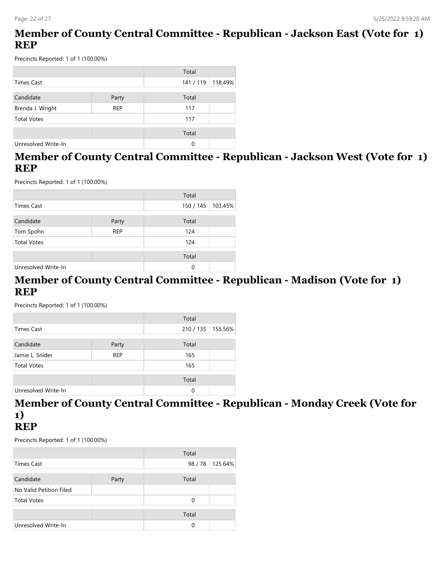### **Member of County Central Committee - Republican - Jackson East (Vote for 1) REP**

Precincts Reported: 1 of 1 (100.00%)

|                     |            | Total     |         |
|---------------------|------------|-----------|---------|
| Times Cast          |            | 141 / 119 | 118.49% |
|                     |            |           |         |
| Candidate           | Party      | Total     |         |
| Brenda J. Wright    | <b>REP</b> | 117       |         |
| <b>Total Votes</b>  |            | 117       |         |
|                     |            | Total     |         |
| Unresolved Write-In |            | 0         |         |

### **Member of County Central Committee - Republican - Jackson West (Vote for 1) REP**

Precincts Reported: 1 of 1 (100.00%)

|                     |            | Total     |         |
|---------------------|------------|-----------|---------|
| <b>Times Cast</b>   |            | 150 / 145 | 103.45% |
| Candidate           | Party      | Total     |         |
| Tom Spohn           | <b>REP</b> | 124       |         |
| <b>Total Votes</b>  |            | 124       |         |
|                     |            | Total     |         |
| Unresolved Write-In |            | 0         |         |

#### **Member of County Central Committee - Republican - Madison (Vote for 1) REP**

Precincts Reported: 1 of 1 (100.00%)

|                     |            | Total   |         |
|---------------------|------------|---------|---------|
| Times Cast          |            | 210/135 | 155.56% |
| Candidate           | Party      | Total   |         |
| Jamie L. Snider     | <b>REP</b> | 165     |         |
| <b>Total Votes</b>  |            | 165     |         |
|                     |            | Total   |         |
| Unresolved Write-In |            | 0       |         |

# **Member of County Central Committee - Republican - Monday Creek (Vote for 1)**

# **REP**

|                         |       | Total |         |
|-------------------------|-------|-------|---------|
| <b>Times Cast</b>       |       | 98/78 | 125.64% |
| Candidate               | Party | Total |         |
| No Valid Petition Filed |       |       |         |
| <b>Total Votes</b>      |       | 0     |         |
|                         |       | Total |         |
| Unresolved Write-In     |       | 0     |         |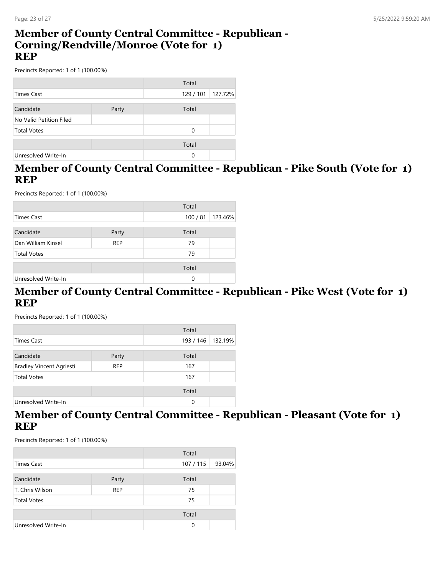#### **Member of County Central Committee - Republican - Corning/Rendville/Monroe (Vote for 1) REP**

Precincts Reported: 1 of 1 (100.00%)

|                         |       | Total     |         |
|-------------------------|-------|-----------|---------|
| Times Cast              |       | 129 / 101 | 127.72% |
|                         |       |           |         |
| Candidate               | Party | Total     |         |
| No Valid Petition Filed |       |           |         |
| <b>Total Votes</b>      |       | 0         |         |
|                         |       |           |         |
|                         |       | Total     |         |
| Unresolved Write-In     |       | 0         |         |

### **Member of County Central Committee - Republican - Pike South (Vote for 1) REP**

Precincts Reported: 1 of 1 (100.00%)

|                     |            | Total  |         |
|---------------------|------------|--------|---------|
| Times Cast          |            | 100/81 | 123.46% |
|                     |            |        |         |
| Candidate           | Party      | Total  |         |
| Dan William Kinsel  | <b>REP</b> | 79     |         |
| <b>Total Votes</b>  |            | 79     |         |
|                     |            | Total  |         |
|                     |            |        |         |
| Unresolved Write-In |            | 0      |         |

### **Member of County Central Committee - Republican - Pike West (Vote for 1) REP**

Precincts Reported: 1 of 1 (100.00%)

|                                 |            | Total     |         |
|---------------------------------|------------|-----------|---------|
| Times Cast                      |            | 193 / 146 | 132.19% |
|                                 |            |           |         |
| Candidate                       | Party      | Total     |         |
| <b>Bradley Vincent Agriesti</b> | <b>REP</b> | 167       |         |
| <b>Total Votes</b>              |            | 167       |         |
|                                 |            |           |         |
|                                 |            | Total     |         |
| Unresolved Write-In             |            | $\Omega$  |         |

### **Member of County Central Committee - Republican - Pleasant (Vote for 1) REP**

|                     |            | Total    |        |
|---------------------|------------|----------|--------|
| Times Cast          |            | 107/115  | 93.04% |
| Candidate           | Party      | Total    |        |
| T. Chris Wilson     | <b>REP</b> | 75       |        |
| <b>Total Votes</b>  |            | 75       |        |
|                     |            | Total    |        |
| Unresolved Write-In |            | $\Omega$ |        |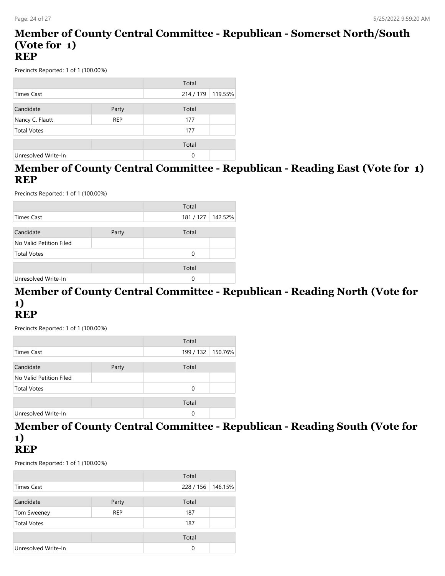#### **Member of County Central Committee - Republican - Somerset North/South (Vote for 1) REP**

Precincts Reported: 1 of 1 (100.00%)

|                     |            | Total     |         |
|---------------------|------------|-----------|---------|
| <b>Times Cast</b>   |            | 214 / 179 | 119.55% |
|                     |            |           |         |
| Candidate           | Party      | Total     |         |
| Nancy C. Flautt     | <b>REP</b> | 177       |         |
| <b>Total Votes</b>  |            | 177       |         |
|                     |            |           |         |
|                     |            | Total     |         |
| Unresolved Write-In |            | 0         |         |

### **Member of County Central Committee - Republican - Reading East (Vote for 1) REP**

Precincts Reported: 1 of 1 (100.00%)

|                         |       | Total     |         |
|-------------------------|-------|-----------|---------|
| Times Cast              |       | 181 / 127 | 142.52% |
| Candidate               | Party | Total     |         |
| No Valid Petition Filed |       |           |         |
| <b>Total Votes</b>      |       | $\Omega$  |         |
|                         |       | Total     |         |
| Unresolved Write-In     |       | 0         |         |

#### **Member of County Central Committee - Republican - Reading North (Vote for 1) REP**

Precincts Reported: 1 of 1 (100.00%)

|                         |       | Total               |  |
|-------------------------|-------|---------------------|--|
| Times Cast              |       | 199 / 132   150.76% |  |
|                         |       |                     |  |
| Candidate               | Party | Total               |  |
| No Valid Petition Filed |       |                     |  |
| <b>Total Votes</b>      |       | $\Omega$            |  |
|                         |       |                     |  |
|                         |       | Total               |  |
| Unresolved Write-In     |       | 0                   |  |

# **Member of County Central Committee - Republican - Reading South (Vote for 1)**

# **REP**

|                     |            | Total     |         |
|---------------------|------------|-----------|---------|
| <b>Times Cast</b>   |            | 228 / 156 | 146.15% |
| Candidate           | Party      | Total     |         |
| Tom Sweeney         | <b>REP</b> | 187       |         |
| <b>Total Votes</b>  |            | 187       |         |
|                     |            | Total     |         |
| Unresolved Write-In |            | 0         |         |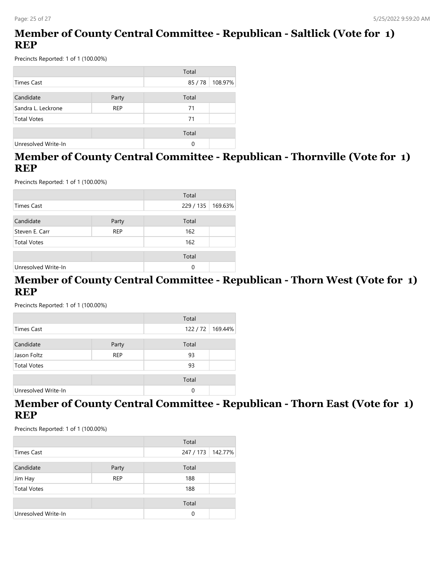### **Member of County Central Committee - Republican - Saltlick (Vote for 1) REP**

Precincts Reported: 1 of 1 (100.00%)

|                                  |       | Total |         |
|----------------------------------|-------|-------|---------|
| <b>Times Cast</b>                |       | 85/78 | 108.97% |
|                                  |       |       |         |
| Candidate                        | Party | Total |         |
| Sandra L. Leckrone<br><b>REP</b> |       | 71    |         |
| <b>Total Votes</b>               |       | 71    |         |
|                                  |       | Total |         |
| Unresolved Write-In              |       | 0     |         |

### **Member of County Central Committee - Republican - Thornville (Vote for 1) REP**

Precincts Reported: 1 of 1 (100.00%)

|                     |            | Total     |         |
|---------------------|------------|-----------|---------|
| <b>Times Cast</b>   |            | 229 / 135 | 169.63% |
|                     |            |           |         |
| Candidate           | Party      | Total     |         |
| Steven E. Carr      | <b>REP</b> | 162       |         |
| <b>Total Votes</b>  |            | 162       |         |
|                     |            | Total     |         |
| Unresolved Write-In |            | 0         |         |

#### **Member of County Central Committee - Republican - Thorn West (Vote for 1) REP**

Precincts Reported: 1 of 1 (100.00%)

| Total               |            |       |                    |
|---------------------|------------|-------|--------------------|
| Times Cast          |            |       | 122 / 72   169.44% |
|                     |            |       |                    |
| Candidate           | Party      | Total |                    |
| Jason Foltz         | <b>REP</b> | 93    |                    |
| <b>Total Votes</b>  |            | 93    |                    |
|                     |            | Total |                    |
|                     |            |       |                    |
| Unresolved Write-In |            | 0     |                    |

#### **Member of County Central Committee - Republican - Thorn East (Vote for 1) REP**

|                     |            | Total     |         |
|---------------------|------------|-----------|---------|
| Times Cast          |            | 247 / 173 | 142.77% |
| Candidate           | Party      | Total     |         |
| Jim Hay             | <b>REP</b> | 188       |         |
| <b>Total Votes</b>  |            | 188       |         |
|                     |            | Total     |         |
| Unresolved Write-In |            | 0         |         |